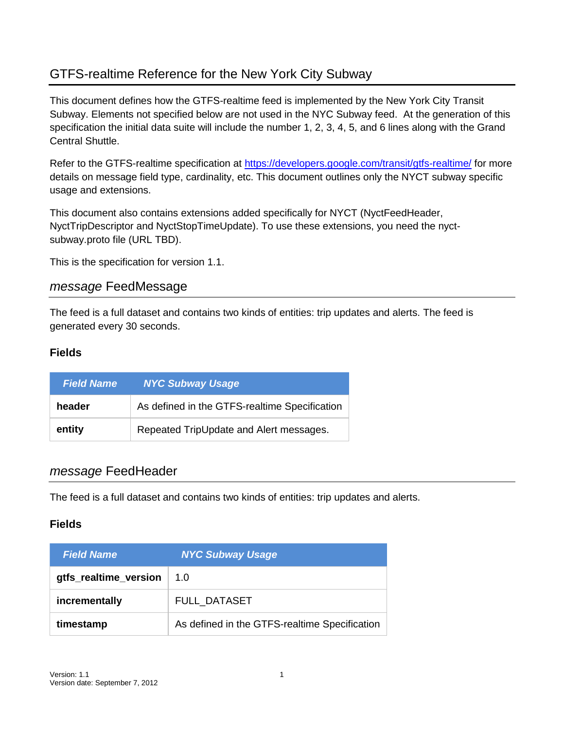## GTFS-realtime Reference for the New York City Subway

This document defines how the GTFS-realtime feed is implemented by the New York City Transit Subway. Elements not specified below are not used in the NYC Subway feed. At the generation of this specification the initial data suite will include the number 1, 2, 3, 4, 5, and 6 lines along with the Grand Central Shuttle.

Refer to the GTFS-realtime specification at<https://developers.google.com/transit/gtfs-realtime/> for more details on message field type, cardinality, etc. This document outlines only the NYCT subway specific usage and extensions.

This document also contains extensions added specifically for NYCT (NyctFeedHeader, NyctTripDescriptor and NyctStopTimeUpdate). To use these extensions, you need the nyctsubway.proto file (URL TBD).

This is the specification for version 1.1.

### *message* FeedMessage

The feed is a full dataset and contains two kinds of entities: trip updates and alerts. The feed is generated every 30 seconds.

### **Fields**

| <b>Field Name</b> | <b>NYC Subway Usage</b>                       |
|-------------------|-----------------------------------------------|
| header            | As defined in the GTFS-realtime Specification |
| entity            | Repeated TripUpdate and Alert messages.       |

### *message* FeedHeader

The feed is a full dataset and contains two kinds of entities: trip updates and alerts.

| <b>Field Name</b>     | <b>NYC Subway Usage</b>                       |
|-----------------------|-----------------------------------------------|
| gtfs_realtime_version | 1.0                                           |
| incrementally         | <b>FULL DATASET</b>                           |
| timestamp             | As defined in the GTFS-realtime Specification |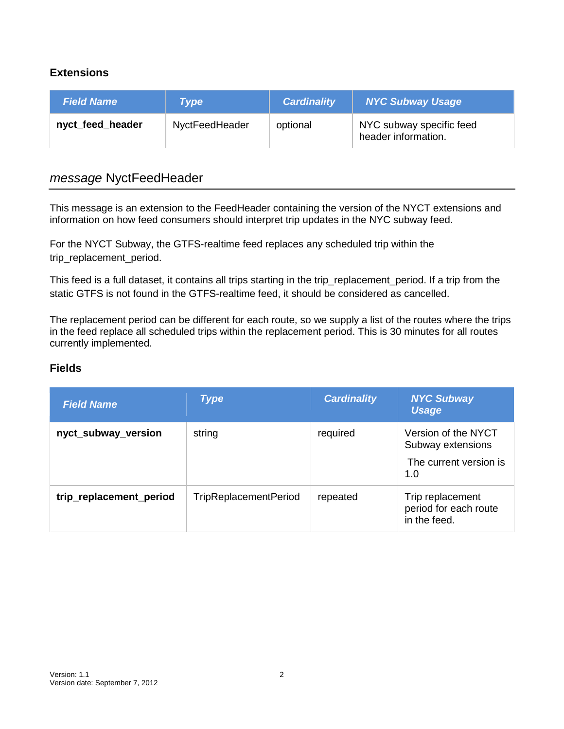### **Extensions**

| <b>Field Name</b> | Type           | <b>Cardinality</b> | <b>NYC Subway Usage</b>                         |
|-------------------|----------------|--------------------|-------------------------------------------------|
| nyct_feed_header  | NyctFeedHeader | optional           | NYC subway specific feed<br>header information. |

### *message* NyctFeedHeader

This message is an extension to the FeedHeader containing the version of the NYCT extensions and information on how feed consumers should interpret trip updates in the NYC subway feed.

For the NYCT Subway, the GTFS-realtime feed replaces any scheduled trip within the trip\_replacement\_period.

This feed is a full dataset, it contains all trips starting in the trip\_replacement\_period. If a trip from the static GTFS is not found in the GTFS-realtime feed, it should be considered as cancelled.

The replacement period can be different for each route, so we supply a list of the routes where the trips in the feed replace all scheduled trips within the replacement period. This is 30 minutes for all routes currently implemented.

| <b>Field Name</b>       | <b>Type</b>                  | <b>Cardinality</b> | <b>NYC Subway</b><br><b>Usage</b>                                         |
|-------------------------|------------------------------|--------------------|---------------------------------------------------------------------------|
| nyct_subway_version     | string                       | required           | Version of the NYCT<br>Subway extensions<br>The current version is<br>1.0 |
| trip_replacement_period | <b>TripReplacementPeriod</b> | repeated           | Trip replacement<br>period for each route<br>in the feed.                 |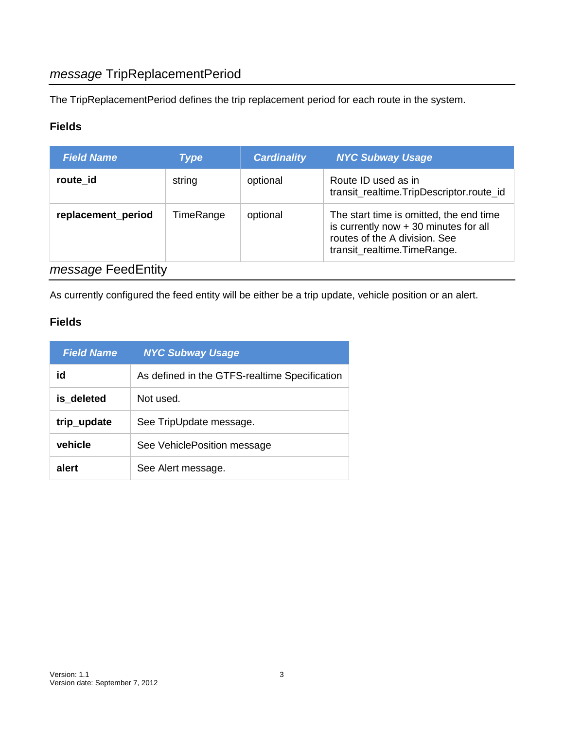## *message* TripReplacementPeriod

The TripReplacementPeriod defines the trip replacement period for each route in the system.

### **Fields**

| <b>Field Name</b>         | <b>Type</b> | <b>Cardinality</b> | <b>NYC Subway Usage</b>                                                                                                                           |
|---------------------------|-------------|--------------------|---------------------------------------------------------------------------------------------------------------------------------------------------|
| route id                  | string      | optional           | Route ID used as in<br>transit_realtime.TripDescriptor.route_id                                                                                   |
| replacement_period        | TimeRange   | optional           | The start time is omitted, the end time<br>is currently now $+30$ minutes for all<br>routes of the A division. See<br>transit_realtime.TimeRange. |
| <i>message</i> FeedEntity |             |                    |                                                                                                                                                   |

As currently configured the feed entity will be either be a trip update, vehicle position or an alert.

| <b>Field Name</b> | <b>NYC Subway Usage</b>                       |
|-------------------|-----------------------------------------------|
| id                | As defined in the GTFS-realtime Specification |
| is deleted        | Not used.                                     |
| trip_update       | See TripUpdate message.                       |
| vehicle           | See VehiclePosition message                   |
| alert             | See Alert message.                            |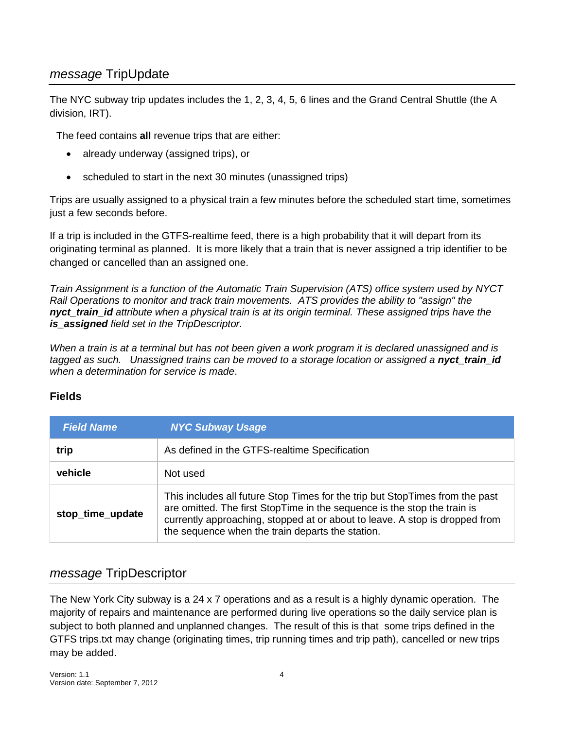## *message* TripUpdate

The NYC subway trip updates includes the 1, 2, 3, 4, 5, 6 lines and the Grand Central Shuttle (the A division, IRT).

The feed contains **all** revenue trips that are either:

- already underway (assigned trips), or
- scheduled to start in the next 30 minutes (unassigned trips)

Trips are usually assigned to a physical train a few minutes before the scheduled start time, sometimes just a few seconds before.

If a trip is included in the GTFS-realtime feed, there is a high probability that it will depart from its originating terminal as planned. It is more likely that a train that is never assigned a trip identifier to be changed or cancelled than an assigned one.

*Train Assignment is a function of the Automatic Train Supervision (ATS) office system used by NYCT Rail Operations to monitor and track train movements. ATS provides the ability to "assign" the nyct\_train\_id attribute when a physical train is at its origin terminal. These assigned trips have the is\_assigned field set in the TripDescriptor.* 

*When a train is at a terminal but has not been given a work program it is declared unassigned and is*  tagged as such. Unassigned trains can be moved to a storage location or assigned a **nyct train id** *when a determination for service is made*.

### **Fields**

| <b>Field Name</b> | <b>NYC Subway Usage</b>                                                                                                                                                                                                                                                                     |
|-------------------|---------------------------------------------------------------------------------------------------------------------------------------------------------------------------------------------------------------------------------------------------------------------------------------------|
| trip              | As defined in the GTFS-realtime Specification                                                                                                                                                                                                                                               |
| vehicle           | Not used                                                                                                                                                                                                                                                                                    |
| stop_time_update  | This includes all future Stop Times for the trip but StopTimes from the past<br>are omitted. The first StopTime in the sequence is the stop the train is<br>currently approaching, stopped at or about to leave. A stop is dropped from<br>the sequence when the train departs the station. |

## *message* TripDescriptor

The New York City subway is a 24 x 7 operations and as a result is a highly dynamic operation. The majority of repairs and maintenance are performed during live operations so the daily service plan is subject to both planned and unplanned changes. The result of this is that some trips defined in the GTFS trips.txt may change (originating times, trip running times and trip path), cancelled or new trips may be added.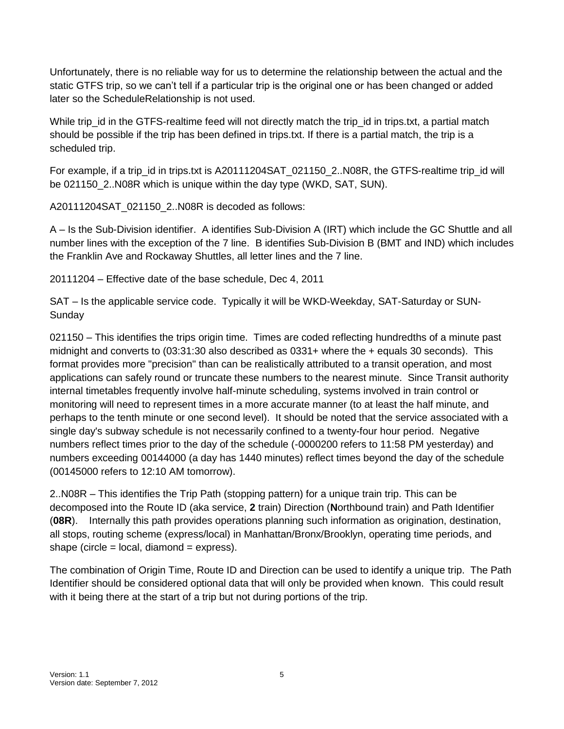Unfortunately, there is no reliable way for us to determine the relationship between the actual and the static GTFS trip, so we can't tell if a particular trip is the original one or has been changed or added later so the ScheduleRelationship is not used.

While trip\_id in the GTFS-realtime feed will not directly match the trip\_id in trips.txt, a partial match should be possible if the trip has been defined in trips.txt. If there is a partial match, the trip is a scheduled trip.

For example, if a trip\_id in trips.txt is A20111204SAT\_021150\_2..N08R, the GTFS-realtime trip\_id will be 021150 2..N08R which is unique within the day type (WKD, SAT, SUN).

A20111204SAT\_021150\_2..N08R is decoded as follows:

A – Is the Sub-Division identifier. A identifies Sub-Division A (IRT) which include the GC Shuttle and all number lines with the exception of the 7 line. B identifies Sub-Division B (BMT and IND) which includes the Franklin Ave and Rockaway Shuttles, all letter lines and the 7 line.

20111204 – Effective date of the base schedule, Dec 4, 2011

SAT – Is the applicable service code. Typically it will be WKD-Weekday, SAT-Saturday or SUN-Sunday

021150 – This identifies the trips origin time. Times are coded reflecting hundredths of a minute past midnight and converts to (03:31:30 also described as 0331+ where the + equals 30 seconds). This format provides more "precision" than can be realistically attributed to a transit operation, and most applications can safely round or truncate these numbers to the nearest minute. Since Transit authority internal timetables frequently involve half-minute scheduling, systems involved in train control or monitoring will need to represent times in a more accurate manner (to at least the half minute, and perhaps to the tenth minute or one second level). It should be noted that the service associated with a single day's subway schedule is not necessarily confined to a twenty-four hour period. Negative numbers reflect times prior to the day of the schedule (-0000200 refers to 11:58 PM yesterday) and numbers exceeding 00144000 (a day has 1440 minutes) reflect times beyond the day of the schedule (00145000 refers to 12:10 AM tomorrow).

2..N08R – This identifies the Trip Path (stopping pattern) for a unique train trip. This can be decomposed into the Route ID (aka service, **2** train) Direction (**N**orthbound train) and Path Identifier (**08R**). Internally this path provides operations planning such information as origination, destination, all stops, routing scheme (express/local) in Manhattan/Bronx/Brooklyn, operating time periods, and shape (circle  $=$  local, diamond  $=$  express).

The combination of Origin Time, Route ID and Direction can be used to identify a unique trip. The Path Identifier should be considered optional data that will only be provided when known. This could result with it being there at the start of a trip but not during portions of the trip.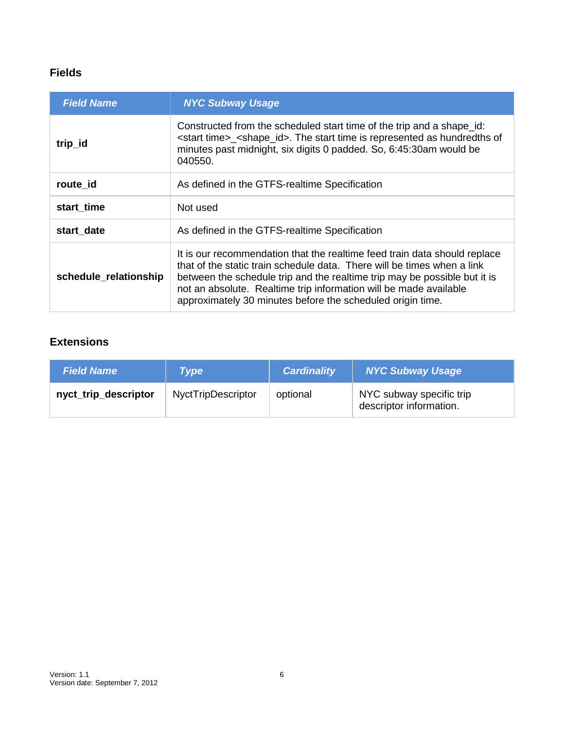| <b>Field Name</b>     | <b>NYC Subway Usage</b>                                                                                                                                                                                                                                                                                                                                              |
|-----------------------|----------------------------------------------------------------------------------------------------------------------------------------------------------------------------------------------------------------------------------------------------------------------------------------------------------------------------------------------------------------------|
| trip_id               | Constructed from the scheduled start time of the trip and a shape id:<br><start time="">_<shape_id>. The start time is represented as hundredths of<br/>minutes past midnight, six digits 0 padded. So, 6:45:30am would be<br/>040550.</shape_id></start>                                                                                                            |
| route id              | As defined in the GTFS-realtime Specification                                                                                                                                                                                                                                                                                                                        |
| start time            | Not used                                                                                                                                                                                                                                                                                                                                                             |
| start date            | As defined in the GTFS-realtime Specification                                                                                                                                                                                                                                                                                                                        |
| schedule_relationship | It is our recommendation that the realtime feed train data should replace<br>that of the static train schedule data. There will be times when a link<br>between the schedule trip and the realtime trip may be possible but it is<br>not an absolute. Realtime trip information will be made available<br>approximately 30 minutes before the scheduled origin time. |

### **Extensions**

| <b>Field Name</b>    | <b>Type</b>               | <b>Cardinality</b> | <b>NYC Subway Usage</b>                             |
|----------------------|---------------------------|--------------------|-----------------------------------------------------|
| nyct_trip_descriptor | <b>NyctTripDescriptor</b> | optional           | NYC subway specific trip<br>descriptor information. |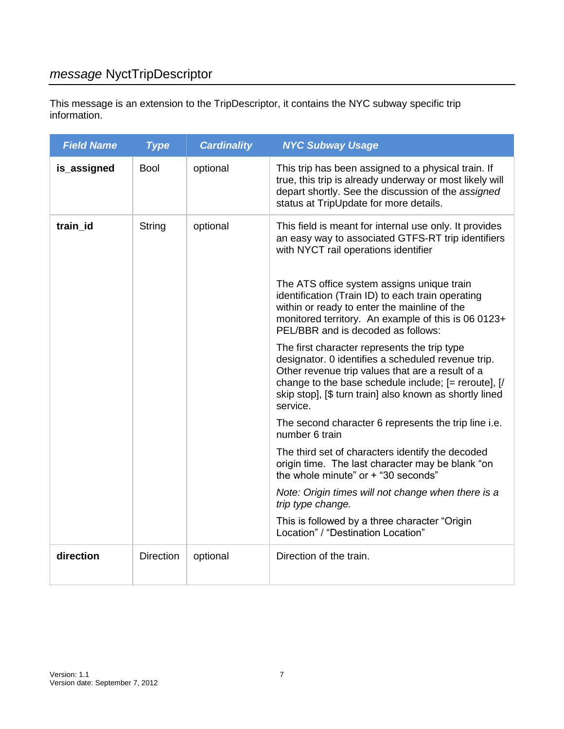# *message* NyctTripDescriptor

This message is an extension to the TripDescriptor, it contains the NYC subway specific trip information.

| <b>Field Name</b> | <b>Type</b>      | <b>Cardinality</b> | <b>NYC Subway Usage</b>                                                                                                                                                                                                                                                                                                                                                                                                                                                                                                                                                                                                                                                                                                                                                                                                                                                                                                                                                                                                                                                                  |
|-------------------|------------------|--------------------|------------------------------------------------------------------------------------------------------------------------------------------------------------------------------------------------------------------------------------------------------------------------------------------------------------------------------------------------------------------------------------------------------------------------------------------------------------------------------------------------------------------------------------------------------------------------------------------------------------------------------------------------------------------------------------------------------------------------------------------------------------------------------------------------------------------------------------------------------------------------------------------------------------------------------------------------------------------------------------------------------------------------------------------------------------------------------------------|
| is_assigned       | <b>Bool</b>      | optional           | This trip has been assigned to a physical train. If<br>true, this trip is already underway or most likely will<br>depart shortly. See the discussion of the assigned<br>status at TripUpdate for more details.                                                                                                                                                                                                                                                                                                                                                                                                                                                                                                                                                                                                                                                                                                                                                                                                                                                                           |
| train_id          | String           | optional           | This field is meant for internal use only. It provides<br>an easy way to associated GTFS-RT trip identifiers<br>with NYCT rail operations identifier<br>The ATS office system assigns unique train<br>identification (Train ID) to each train operating<br>within or ready to enter the mainline of the<br>monitored territory. An example of this is 06 0123+<br>PEL/BBR and is decoded as follows:<br>The first character represents the trip type<br>designator. 0 identifies a scheduled revenue trip.<br>Other revenue trip values that are a result of a<br>change to the base schedule include; [= reroute], [/<br>skip stop], [\$ turn train] also known as shortly lined<br>service.<br>The second character 6 represents the trip line i.e.<br>number 6 train<br>The third set of characters identify the decoded<br>origin time. The last character may be blank "on<br>the whole minute" or + "30 seconds"<br>Note: Origin times will not change when there is a<br>trip type change.<br>This is followed by a three character "Origin<br>Location" / "Destination Location" |
| direction         | <b>Direction</b> | optional           | Direction of the train.                                                                                                                                                                                                                                                                                                                                                                                                                                                                                                                                                                                                                                                                                                                                                                                                                                                                                                                                                                                                                                                                  |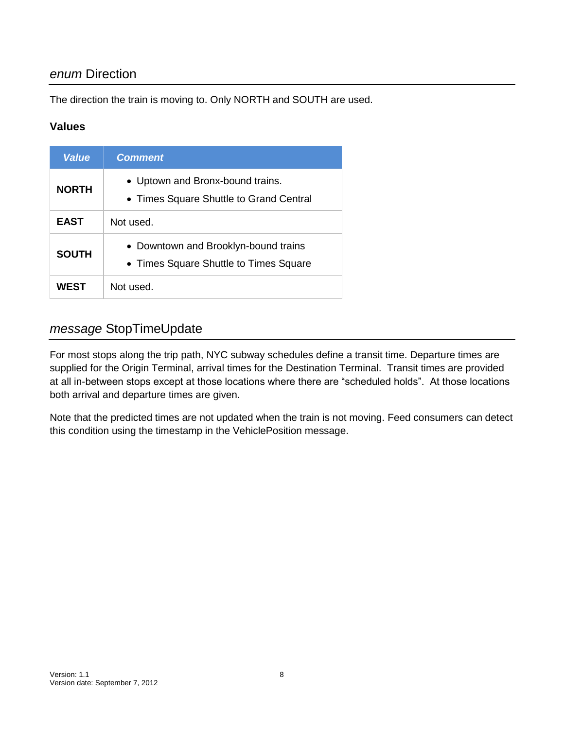## *enum* Direction

The direction the train is moving to. Only NORTH and SOUTH are used.

### **Values**

| <b>Value</b> | <b>Comment</b>                                                                 |
|--------------|--------------------------------------------------------------------------------|
| <b>NORTH</b> | • Uptown and Bronx-bound trains.<br>• Times Square Shuttle to Grand Central    |
| <b>EAST</b>  | Not used.                                                                      |
| <b>SOUTH</b> | • Downtown and Brooklyn-bound trains<br>• Times Square Shuttle to Times Square |
| WFST         | Not used.                                                                      |

## *message* StopTimeUpdate

For most stops along the trip path, NYC subway schedules define a transit time. Departure times are supplied for the Origin Terminal, arrival times for the Destination Terminal. Transit times are provided at all in-between stops except at those locations where there are "scheduled holds". At those locations both arrival and departure times are given.

Note that the predicted times are not updated when the train is not moving. Feed consumers can detect this condition using the timestamp in the VehiclePosition message.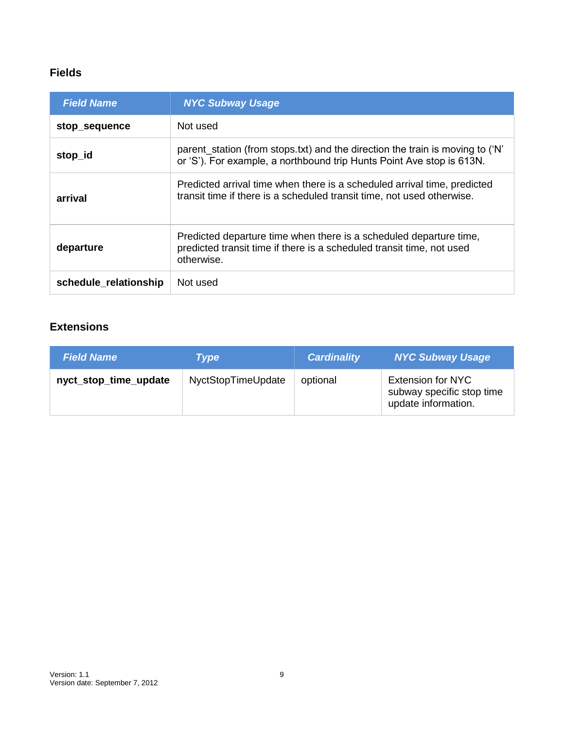| <b>Field Name</b>     | <b>NYC Subway Usage</b>                                                                                                                                   |
|-----------------------|-----------------------------------------------------------------------------------------------------------------------------------------------------------|
| stop_sequence         | Not used                                                                                                                                                  |
| stop_id               | parent_station (from stops.txt) and the direction the train is moving to ('N'<br>or 'S'). For example, a northbound trip Hunts Point Ave stop is 613N.    |
| arrival               | Predicted arrival time when there is a scheduled arrival time, predicted<br>transit time if there is a scheduled transit time, not used otherwise.        |
| departure             | Predicted departure time when there is a scheduled departure time,<br>predicted transit time if there is a scheduled transit time, not used<br>otherwise. |
| schedule relationship | Not used                                                                                                                                                  |

## **Extensions**

| <b>Field Name</b>     | <b>Type</b>        | <b>Cardinality</b> | <b>NYC Subway Usage</b>                                                      |
|-----------------------|--------------------|--------------------|------------------------------------------------------------------------------|
| nyct_stop_time_update | NyctStopTimeUpdate | optional           | <b>Extension for NYC</b><br>subway specific stop time<br>update information. |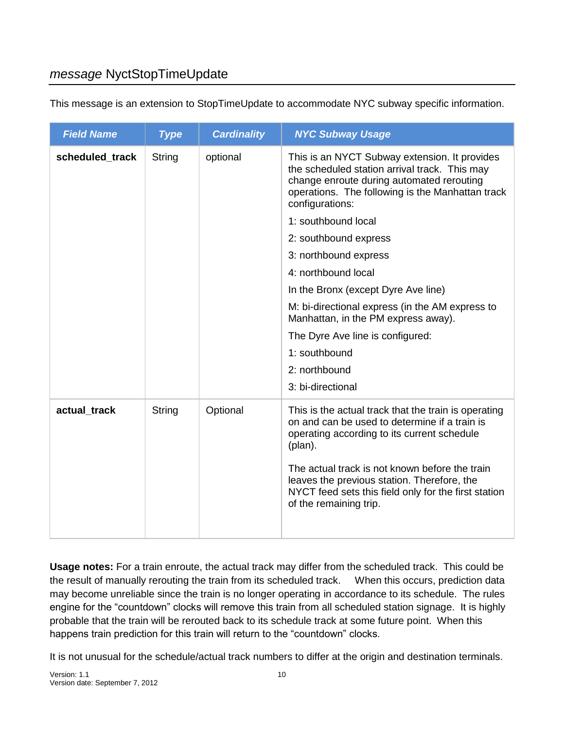| <b>Field Name</b> | <b>Type</b> | <b>Cardinality</b> | <b>NYC Subway Usage</b>                                                                                                                                                                                            |
|-------------------|-------------|--------------------|--------------------------------------------------------------------------------------------------------------------------------------------------------------------------------------------------------------------|
| scheduled_track   | String      | optional           | This is an NYCT Subway extension. It provides<br>the scheduled station arrival track. This may<br>change enroute during automated rerouting<br>operations. The following is the Manhattan track<br>configurations: |
|                   |             |                    | 1: southbound local                                                                                                                                                                                                |
|                   |             |                    | 2: southbound express                                                                                                                                                                                              |
|                   |             |                    | 3: northbound express                                                                                                                                                                                              |
|                   |             |                    | 4: northbound local                                                                                                                                                                                                |
|                   |             |                    | In the Bronx (except Dyre Ave line)                                                                                                                                                                                |
|                   |             |                    | M: bi-directional express (in the AM express to<br>Manhattan, in the PM express away).                                                                                                                             |
|                   |             |                    | The Dyre Ave line is configured:                                                                                                                                                                                   |
|                   |             |                    | 1: southbound                                                                                                                                                                                                      |
|                   |             |                    | 2: northbound                                                                                                                                                                                                      |
|                   |             |                    | 3: bi-directional                                                                                                                                                                                                  |
| actual track      | String      | Optional           | This is the actual track that the train is operating<br>on and can be used to determine if a train is<br>operating according to its current schedule<br>(plan).                                                    |
|                   |             |                    | The actual track is not known before the train<br>leaves the previous station. Therefore, the<br>NYCT feed sets this field only for the first station<br>of the remaining trip.                                    |

This message is an extension to StopTimeUpdate to accommodate NYC subway specific information.

**Usage notes:** For a train enroute, the actual track may differ from the scheduled track. This could be the result of manually rerouting the train from its scheduled track. When this occurs, prediction data may become unreliable since the train is no longer operating in accordance to its schedule. The rules engine for the "countdown" clocks will remove this train from all scheduled station signage. It is highly probable that the train will be rerouted back to its schedule track at some future point. When this happens train prediction for this train will return to the "countdown" clocks.

It is not unusual for the schedule/actual track numbers to differ at the origin and destination terminals.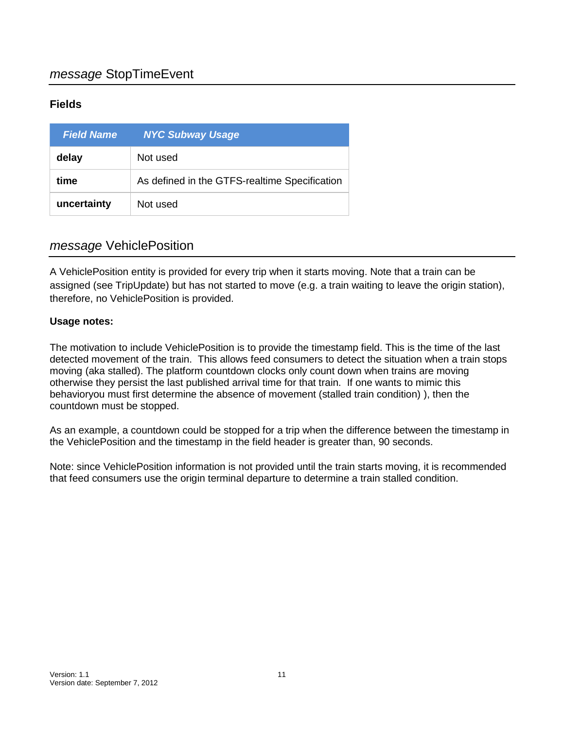| <b>Field Name</b> | <b>NYC Subway Usage</b>                       |
|-------------------|-----------------------------------------------|
| delay             | Not used                                      |
| time              | As defined in the GTFS-realtime Specification |
| uncertainty       | Not used                                      |

### *message* VehiclePosition

A VehiclePosition entity is provided for every trip when it starts moving. Note that a train can be assigned (see TripUpdate) but has not started to move (e.g. a train waiting to leave the origin station), therefore, no VehiclePosition is provided.

### **Usage notes:**

The motivation to include VehiclePosition is to provide the timestamp field. This is the time of the last detected movement of the train. This allows feed consumers to detect the situation when a train stops moving (aka stalled). The platform countdown clocks only count down when trains are moving otherwise they persist the last published arrival time for that train. If one wants to mimic this behavioryou must first determine the absence of movement (stalled train condition) ), then the countdown must be stopped.

As an example, a countdown could be stopped for a trip when the difference between the timestamp in the VehiclePosition and the timestamp in the field header is greater than, 90 seconds.

Note: since VehiclePosition information is not provided until the train starts moving, it is recommended that feed consumers use the origin terminal departure to determine a train stalled condition.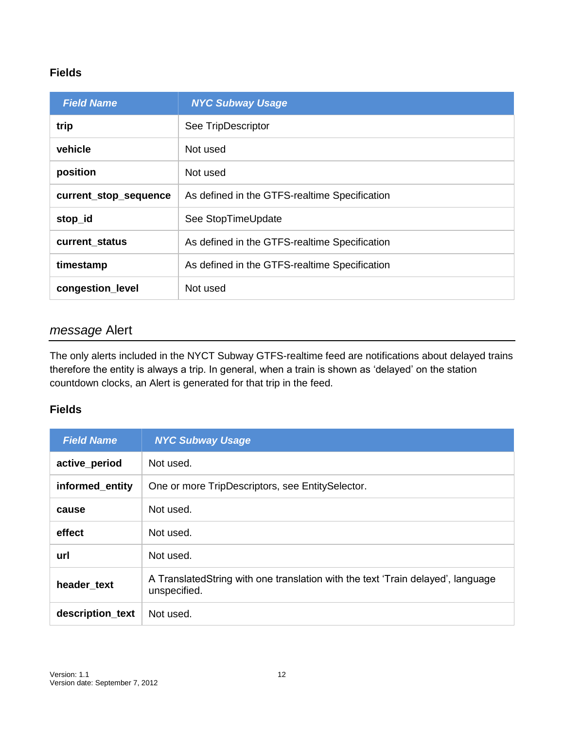| <b>Field Name</b>     | <b>NYC Subway Usage</b>                       |  |
|-----------------------|-----------------------------------------------|--|
| trip                  | See TripDescriptor                            |  |
| vehicle               | Not used                                      |  |
| position              | Not used                                      |  |
| current_stop_sequence | As defined in the GTFS-realtime Specification |  |
| stop_id               | See StopTimeUpdate                            |  |
| current_status        | As defined in the GTFS-realtime Specification |  |
| timestamp             | As defined in the GTFS-realtime Specification |  |
| congestion_level      | Not used                                      |  |

### *message* Alert

The only alerts included in the NYCT Subway GTFS-realtime feed are notifications about delayed trains therefore the entity is always a trip. In general, when a train is shown as 'delayed' on the station countdown clocks, an Alert is generated for that trip in the feed.

| <b>Field Name</b> | <b>NYC Subway Usage</b>                                                                          |
|-------------------|--------------------------------------------------------------------------------------------------|
| active_period     | Not used.                                                                                        |
| informed_entity   | One or more TripDescriptors, see EntitySelector.                                                 |
| cause             | Not used.                                                                                        |
| effect            | Not used.                                                                                        |
| url               | Not used.                                                                                        |
| header text       | A Translated String with one translation with the text 'Train delayed', language<br>unspecified. |
| description_text  | Not used.                                                                                        |